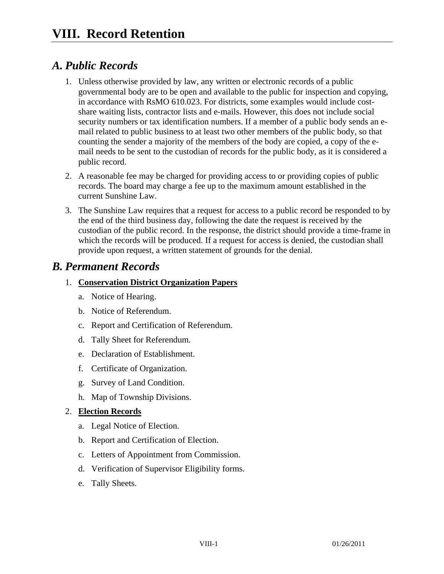## *A. Public Records*

- 1. Unless otherwise provided by law, any written or electronic records of a public governmental body are to be open and available to the public for inspection and copying, in accordance with RsMO 610.023. For districts, some examples would include costshare waiting lists, contractor lists and e-mails. However, this does not include social security numbers or tax identification numbers. If a member of a public body sends an email related to public business to at least two other members of the public body, so that counting the sender a majority of the members of the body are copied, a copy of the email needs to be sent to the custodian of records for the public body, as it is considered a public record.
- 2. A reasonable fee may be charged for providing access to or providing copies of public records. The board may charge a fee up to the maximum amount established in the current Sunshine Law.
- 3. The Sunshine Law requires that a request for access to a public record be responded to by the end of the third business day, following the date the request is received by the custodian of the public record. In the response, the district should provide a time-frame in which the records will be produced. If a request for access is denied, the custodian shall provide upon request, a written statement of grounds for the denial.

## *B. Permanent Records*

#### 1. **Conservation District Organization Papers**

- a. Notice of Hearing.
- b. Notice of Referendum.
- c. Report and Certification of Referendum.
- d. Tally Sheet for Referendum.
- e. Declaration of Establishment.
- f. Certificate of Organization.
- g. Survey of Land Condition.
- h. Map of Township Divisions.

#### 2. **Election Records**

- a. Legal Notice of Election.
- b. Report and Certification of Election.
- c. Letters of Appointment from Commission.
- d. Verification of Supervisor Eligibility forms.
- e. Tally Sheets.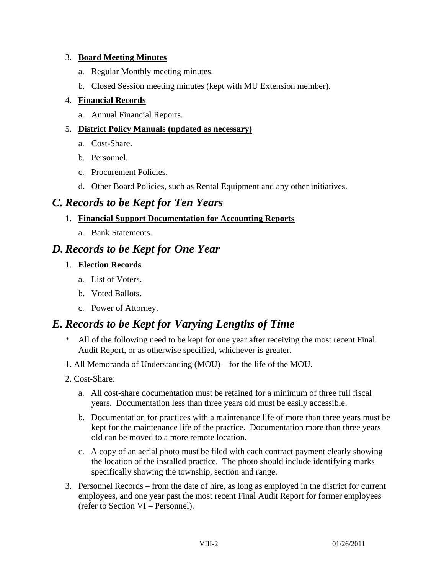#### 3. **Board Meeting Minutes**

- a. Regular Monthly meeting minutes.
- b. Closed Session meeting minutes (kept with MU Extension member).

#### 4. **Financial Records**

a. Annual Financial Reports.

#### 5. **District Policy Manuals (updated as necessary)**

- a. Cost-Share.
- b. Personnel.
- c. Procurement Policies.
- d. Other Board Policies, such as Rental Equipment and any other initiatives.

## *C. Records to be Kept for Ten Years*

#### 1. **Financial Support Documentation for Accounting Reports**

a. Bank Statements.

## *D. Records to be Kept for One Year*

#### 1. **Election Records**

- a. List of Voters.
- b. Voted Ballots.
- c. Power of Attorney.

# *E. Records to be Kept for Varying Lengths of Time*

- \* All of the following need to be kept for one year after receiving the most recent Final Audit Report, or as otherwise specified, whichever is greater.
- 1. All Memoranda of Understanding (MOU) for the life of the MOU.
- 2. Cost-Share:
	- a. All cost-share documentation must be retained for a minimum of three full fiscal years. Documentation less than three years old must be easily accessible.
	- b. Documentation for practices with a maintenance life of more than three years must be kept for the maintenance life of the practice. Documentation more than three years old can be moved to a more remote location.
	- c. A copy of an aerial photo must be filed with each contract payment clearly showing the location of the installed practice. The photo should include identifying marks specifically showing the township, section and range.
- 3. Personnel Records from the date of hire, as long as employed in the district for current employees, and one year past the most recent Final Audit Report for former employees (refer to Section VI – Personnel).